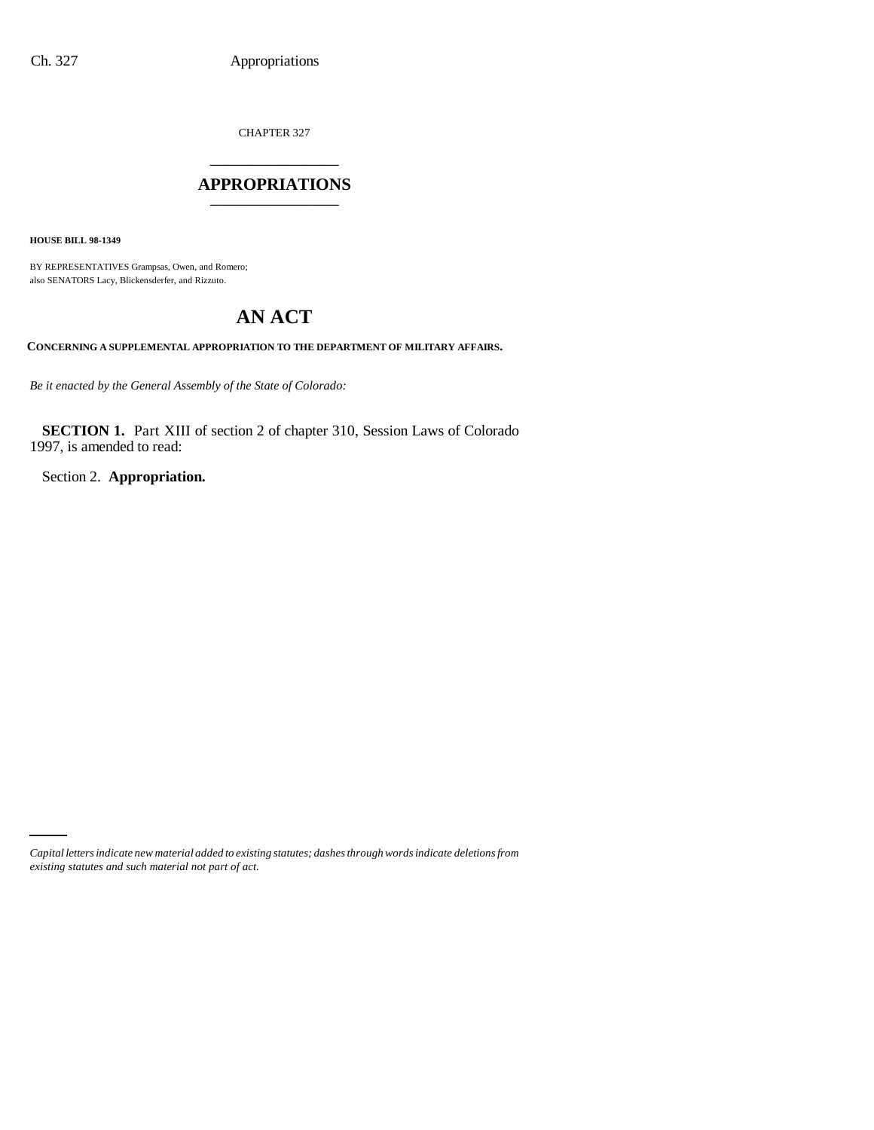CHAPTER 327 \_\_\_\_\_\_\_\_\_\_\_\_\_\_\_

#### **APPROPRIATIONS** \_\_\_\_\_\_\_\_\_\_\_\_\_\_\_

**HOUSE BILL 98-1349**

BY REPRESENTATIVES Grampsas, Owen, and Romero; also SENATORS Lacy, Blickensderfer, and Rizzuto.

# **AN ACT**

**CONCERNING A SUPPLEMENTAL APPROPRIATION TO THE DEPARTMENT OF MILITARY AFFAIRS.**

*Be it enacted by the General Assembly of the State of Colorado:*

**SECTION 1.** Part XIII of section 2 of chapter 310, Session Laws of Colorado 1997, is amended to read:

Section 2. **Appropriation.**

*Capital letters indicate new material added to existing statutes; dashes through words indicate deletions from existing statutes and such material not part of act.*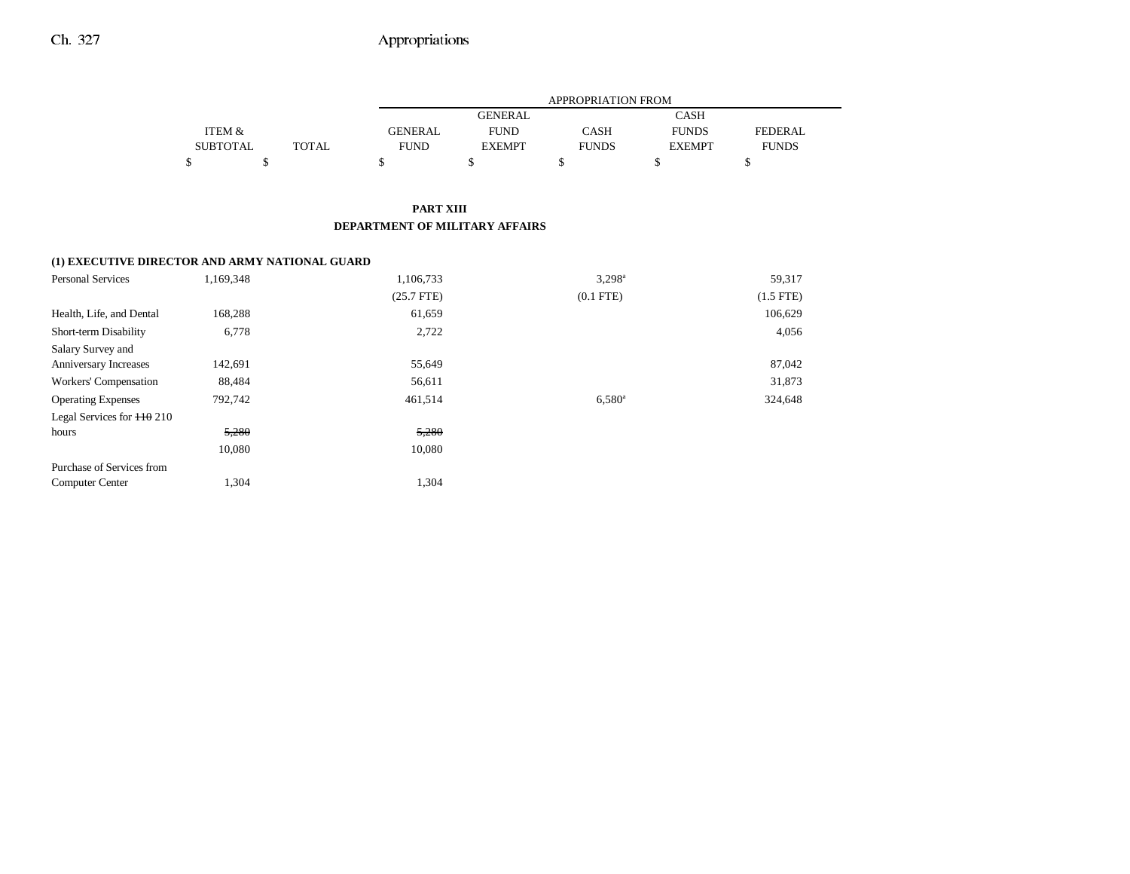### Ch. 327 Appropriations

|                 |       |                | APPROPRIATION FROM |              |               |                |  |  |  |
|-----------------|-------|----------------|--------------------|--------------|---------------|----------------|--|--|--|
|                 |       |                | <b>GENERAL</b>     |              | <b>CASH</b>   |                |  |  |  |
| ITEM &          |       | <b>GENERAL</b> | <b>FUND</b>        | CASH         | <b>FUNDS</b>  | <b>FEDERAL</b> |  |  |  |
| <b>SUBTOTAL</b> | TOTAL | <b>FUND</b>    | <b>EXEMPT</b>      | <b>FUNDS</b> | <b>EXEMPT</b> | <b>FUNDS</b>   |  |  |  |
|                 |       |                |                    |              |               |                |  |  |  |

#### **PART XIII DEPARTMENT OF MILITARY AFFAIRS**

#### **(1) EXECUTIVE DIRECTOR AND ARMY NATIONAL GUARD**

| <b>Personal Services</b>     | 1,169,348 | 1,106,733    | $3,298^{\circ}$ | 59,317      |
|------------------------------|-----------|--------------|-----------------|-------------|
|                              |           | $(25.7$ FTE) | $(0.1$ FTE)     | $(1.5$ FTE) |
| Health, Life, and Dental     | 168,288   | 61,659       |                 | 106,629     |
| Short-term Disability        | 6,778     | 2,722        |                 | 4,056       |
| Salary Survey and            |           |              |                 |             |
| Anniversary Increases        | 142,691   | 55,649       |                 | 87,042      |
| Workers' Compensation        | 88,484    | 56,611       |                 | 31,873      |
| <b>Operating Expenses</b>    | 792,742   | 461,514      | $6,580^{\circ}$ | 324,648     |
| Legal Services for $110$ 210 |           |              |                 |             |
| hours                        | 5,280     | 5,280        |                 |             |
|                              | 10,080    | 10,080       |                 |             |
| Purchase of Services from    |           |              |                 |             |
| <b>Computer Center</b>       | 1,304     | 1,304        |                 |             |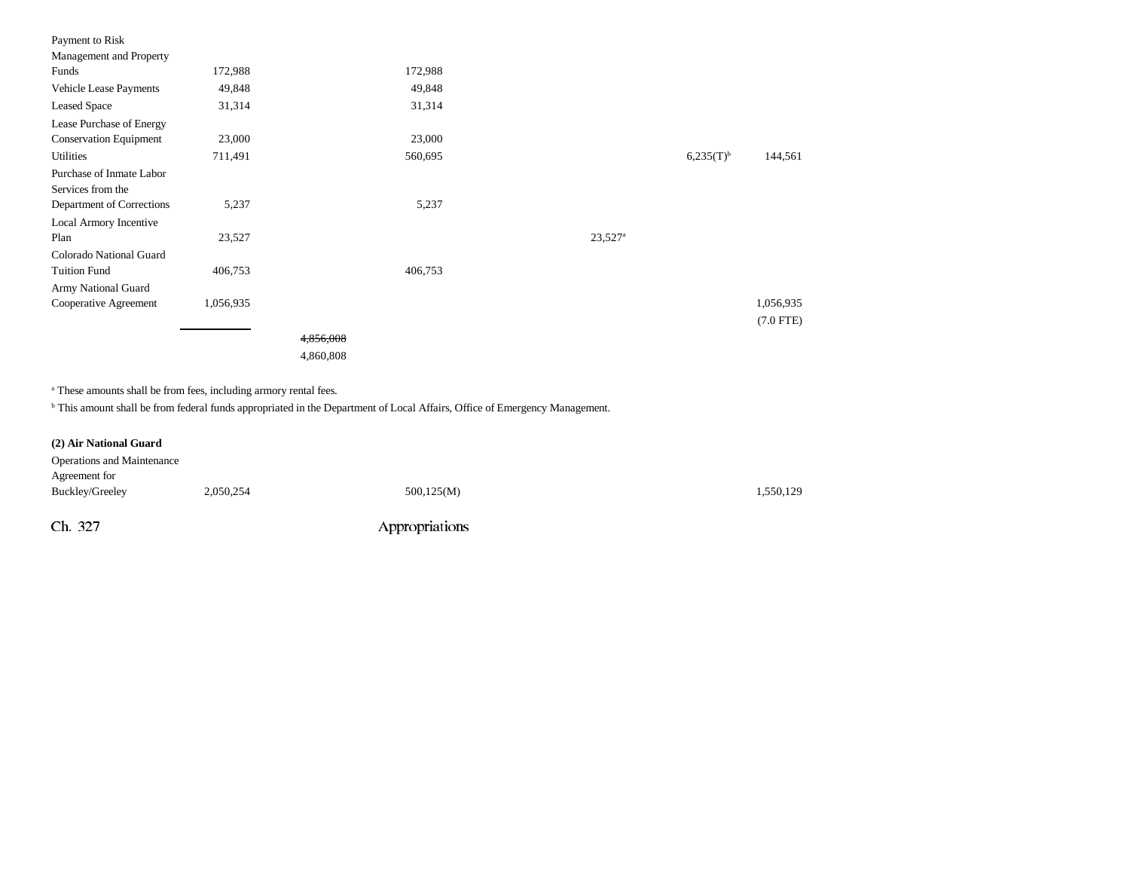| Payment to Risk               |           |           |         |                       |                |             |
|-------------------------------|-----------|-----------|---------|-----------------------|----------------|-------------|
| Management and Property       |           |           |         |                       |                |             |
| Funds                         | 172,988   |           | 172,988 |                       |                |             |
| <b>Vehicle Lease Payments</b> | 49,848    |           | 49,848  |                       |                |             |
| <b>Leased Space</b>           | 31,314    |           | 31,314  |                       |                |             |
| Lease Purchase of Energy      |           |           |         |                       |                |             |
| <b>Conservation Equipment</b> | 23,000    |           | 23,000  |                       |                |             |
| <b>Utilities</b>              | 711,491   |           | 560,695 |                       | $6,235(T)^{b}$ | 144,561     |
| Purchase of Inmate Labor      |           |           |         |                       |                |             |
| Services from the             |           |           |         |                       |                |             |
| Department of Corrections     | 5,237     |           | 5,237   |                       |                |             |
| Local Armory Incentive        |           |           |         |                       |                |             |
| Plan                          | 23,527    |           |         | $23,527$ <sup>a</sup> |                |             |
| Colorado National Guard       |           |           |         |                       |                |             |
| <b>Tuition Fund</b>           | 406,753   |           | 406,753 |                       |                |             |
| Army National Guard           |           |           |         |                       |                |             |
| Cooperative Agreement         | 1,056,935 |           |         |                       |                | 1,056,935   |
|                               |           |           |         |                       |                | $(7.0$ FTE) |
|                               |           | 4,856,008 |         |                       |                |             |
|                               |           | 4,860,808 |         |                       |                |             |

a These amounts shall be from fees, including armory rental fees.

b This amount shall be from federal funds appropriated in the Department of Local Affairs, Office of Emergency Management.

| (2) Air National Guard            |           |                |           |
|-----------------------------------|-----------|----------------|-----------|
| <b>Operations and Maintenance</b> |           |                |           |
| Agreement for                     |           |                |           |
| Buckley/Greeley                   | 2,050,254 | 500,125(M)     | 1,550,129 |
|                                   |           |                |           |
| Ch. 327                           |           | Appropriations |           |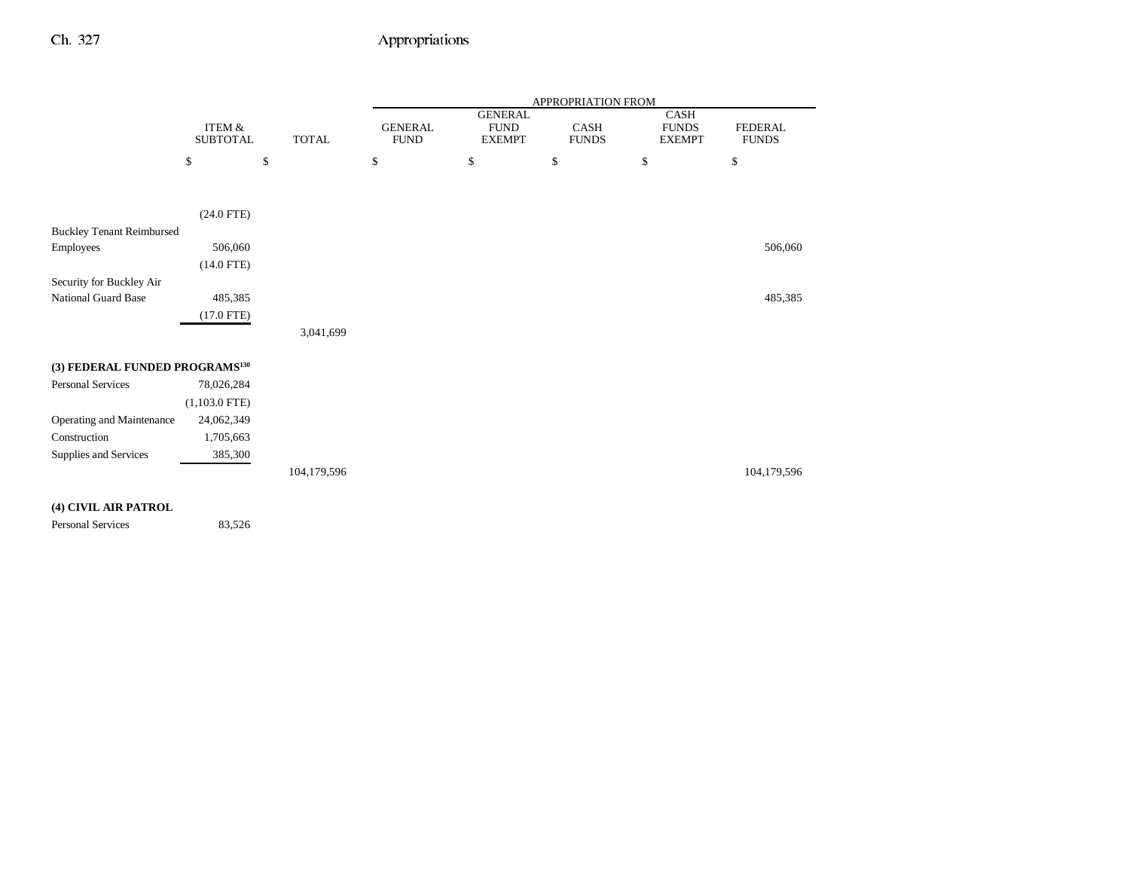### Ch. 327 Appropriations

|                                            |                 |              | APPROPRIATION FROM |                               |              |                      |                |
|--------------------------------------------|-----------------|--------------|--------------------|-------------------------------|--------------|----------------------|----------------|
|                                            | ITEM &          |              | <b>GENERAL</b>     | <b>GENERAL</b><br><b>FUND</b> | CASH         | CASH<br><b>FUNDS</b> | <b>FEDERAL</b> |
|                                            | <b>SUBTOTAL</b> | <b>TOTAL</b> | <b>FUND</b>        | <b>EXEMPT</b>                 | <b>FUNDS</b> | <b>EXEMPT</b>        | <b>FUNDS</b>   |
|                                            | \$              | \$           | \$                 | \$                            | \$           | \$                   | \$             |
|                                            |                 |              |                    |                               |              |                      |                |
|                                            | $(24.0$ FTE)    |              |                    |                               |              |                      |                |
| <b>Buckley Tenant Reimbursed</b>           |                 |              |                    |                               |              |                      |                |
| Employees                                  | 506,060         |              |                    |                               |              |                      | 506,060        |
|                                            | $(14.0$ FTE)    |              |                    |                               |              |                      |                |
| Security for Buckley Air                   |                 |              |                    |                               |              |                      |                |
| National Guard Base                        | 485,385         |              |                    |                               |              |                      | 485,385        |
|                                            | $(17.0$ FTE)    |              |                    |                               |              |                      |                |
|                                            |                 | 3,041,699    |                    |                               |              |                      |                |
|                                            |                 |              |                    |                               |              |                      |                |
| (3) FEDERAL FUNDED PROGRAMS <sup>130</sup> |                 |              |                    |                               |              |                      |                |
| Personal Services                          | 78,026,284      |              |                    |                               |              |                      |                |
|                                            | $(1,103.0$ FTE) |              |                    |                               |              |                      |                |
| Operating and Maintenance                  | 24,062,349      |              |                    |                               |              |                      |                |
| Construction                               | 1,705,663       |              |                    |                               |              |                      |                |
| Supplies and Services                      | 385,300         |              |                    |                               |              |                      |                |
|                                            |                 | 104,179,596  |                    |                               |              |                      | 104,179,596    |

#### **(4) CIVIL AIR PATROL**

Personal Services 83,526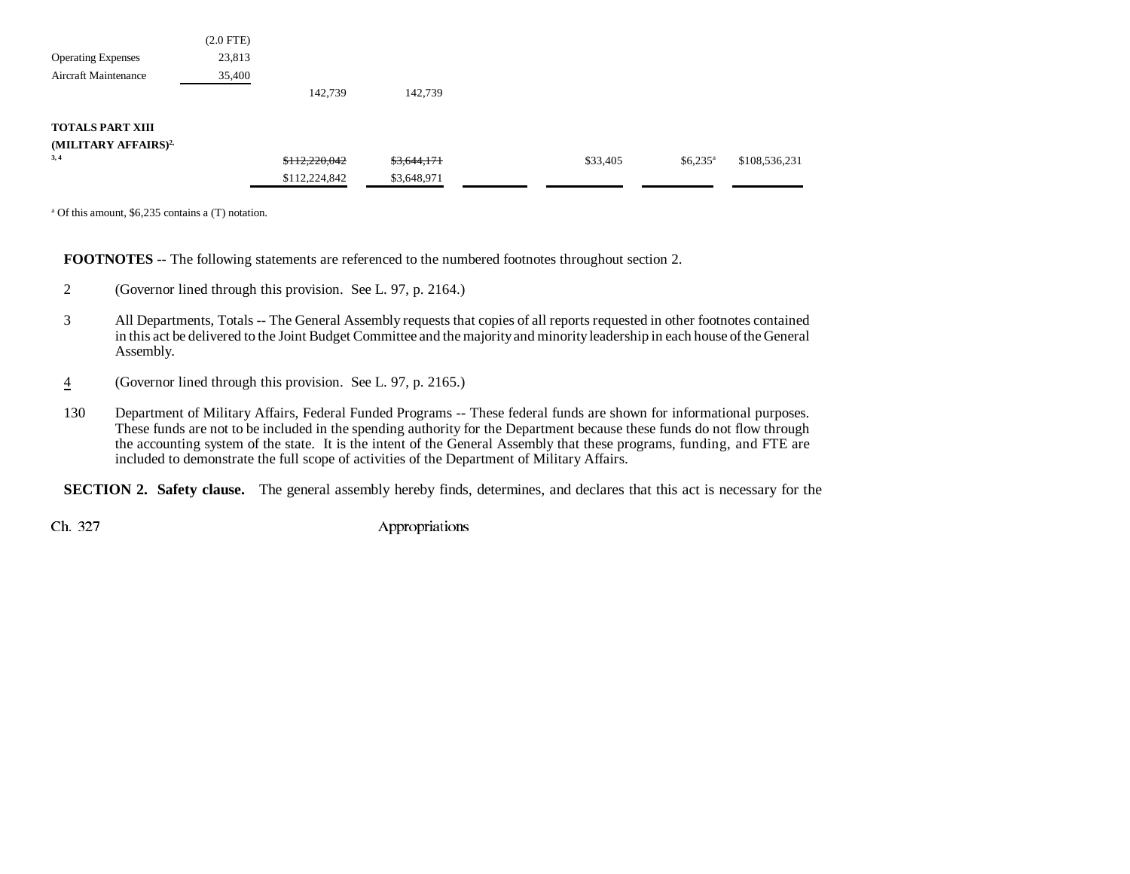| $(2.0$ FTE) |               |             |          |                       |               |
|-------------|---------------|-------------|----------|-----------------------|---------------|
| 23,813      |               |             |          |                       |               |
| 35,400      |               |             |          |                       |               |
|             | 142,739       | 142,739     |          |                       |               |
|             |               |             |          |                       |               |
|             |               |             |          |                       |               |
|             | \$112,220,042 | \$3,644,171 | \$33,405 | $$6,235$ <sup>a</sup> | \$108,536,231 |
|             | \$112,224,842 | \$3,648,971 |          |                       |               |
|             |               |             |          |                       |               |

a Of this amount, \$6,235 contains a (T) notation.

**FOOTNOTES** -- The following statements are referenced to the numbered footnotes throughout section 2.

- 2 (Governor lined through this provision. See L. 97, p. 2164.)
- 3 All Departments, Totals -- The General Assembly requests that copies of all reports requested in other footnotes contained in this act be delivered to the Joint Budget Committee and the majority and minority leadership in each house of the General Assembly.
- 4(Governor lined through this provision. See L. 97, p. 2165.)
- 130 Department of Military Affairs, Federal Funded Programs -- These federal funds are shown for informational purposes. These funds are not to be included in the spending authority for the Department because these funds do not flow through the accounting system of the state. It is the intent of the General Assembly that these programs, funding, and FTE are included to demonstrate the full scope of activities of the Department of Military Affairs.

**SECTION 2. Safety clause.** The general assembly hereby finds, determines, and declares that this act is necessary for the

Ch. 327 Appropriations